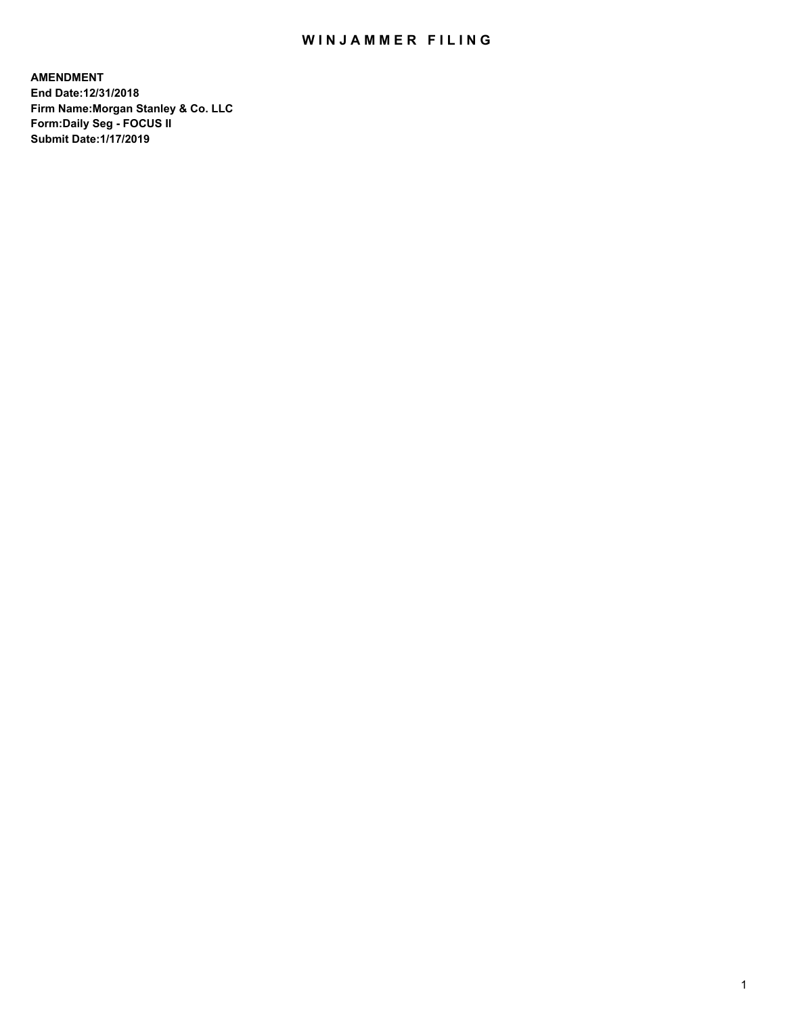## WIN JAMMER FILING

**AMENDMENT End Date:12/31/2018 Firm Name:Morgan Stanley & Co. LLC Form:Daily Seg - FOCUS II Submit Date:1/17/2019**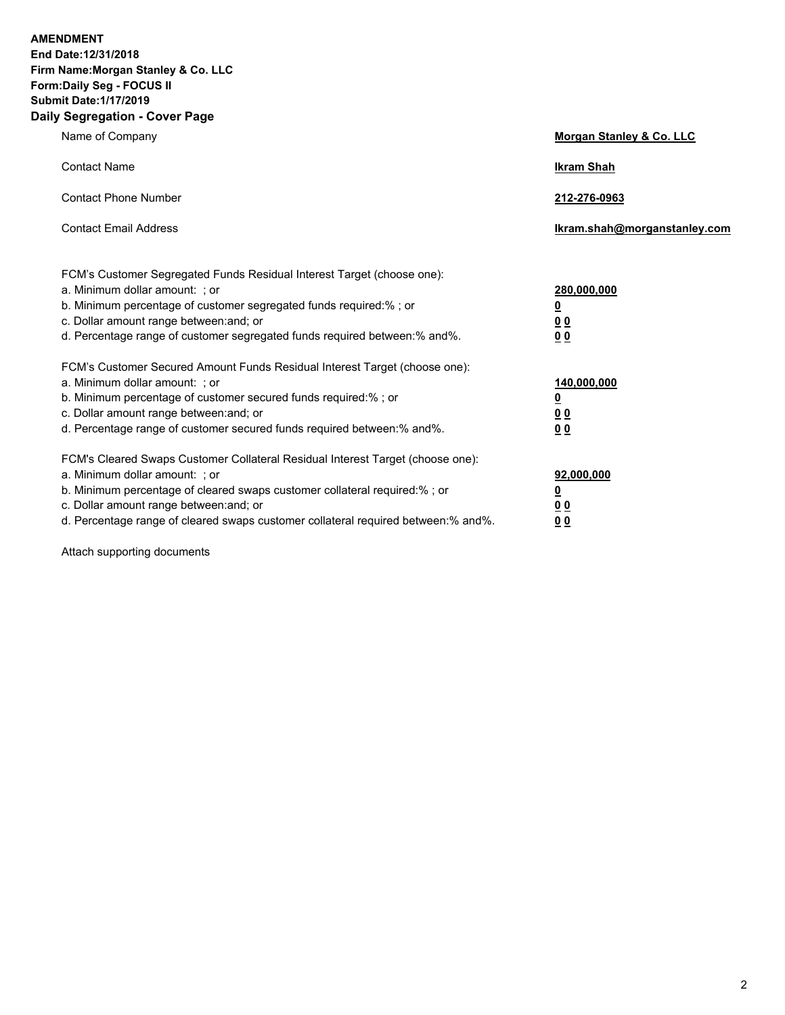**AMENDMENT End Date:12/31/2018 Firm Name:Morgan Stanley & Co. LLC Form:Daily Seg - FOCUS II Submit Date:1/17/2019 Daily Segregation - Cover Page**

| $0091090001 - 00101 + 090$                                                                                                                                                                                                                                                                                                       |                                                 |
|----------------------------------------------------------------------------------------------------------------------------------------------------------------------------------------------------------------------------------------------------------------------------------------------------------------------------------|-------------------------------------------------|
| Name of Company                                                                                                                                                                                                                                                                                                                  | Morgan Stanley & Co. LLC                        |
| <b>Contact Name</b>                                                                                                                                                                                                                                                                                                              | <b>Ikram Shah</b>                               |
| <b>Contact Phone Number</b>                                                                                                                                                                                                                                                                                                      | 212-276-0963                                    |
| <b>Contact Email Address</b>                                                                                                                                                                                                                                                                                                     | Ikram.shah@morganstanley.com                    |
| FCM's Customer Segregated Funds Residual Interest Target (choose one):<br>a. Minimum dollar amount: ; or<br>b. Minimum percentage of customer segregated funds required:% ; or<br>c. Dollar amount range between: and; or<br>d. Percentage range of customer segregated funds required between:% and%.                           | 280,000,000<br><u>0</u><br><u>0 0</u><br>0 Q    |
| FCM's Customer Secured Amount Funds Residual Interest Target (choose one):<br>a. Minimum dollar amount: ; or<br>b. Minimum percentage of customer secured funds required:%; or<br>c. Dollar amount range between: and; or<br>d. Percentage range of customer secured funds required between:% and%.                              | 140,000,000<br><u>0</u><br>0 <sub>0</sub><br>00 |
| FCM's Cleared Swaps Customer Collateral Residual Interest Target (choose one):<br>a. Minimum dollar amount: ; or<br>b. Minimum percentage of cleared swaps customer collateral required:% ; or<br>c. Dollar amount range between: and; or<br>d. Percentage range of cleared swaps customer collateral required between: % and %. | 92,000,000<br><u>0</u><br><u>00</u><br>00       |

Attach supporting documents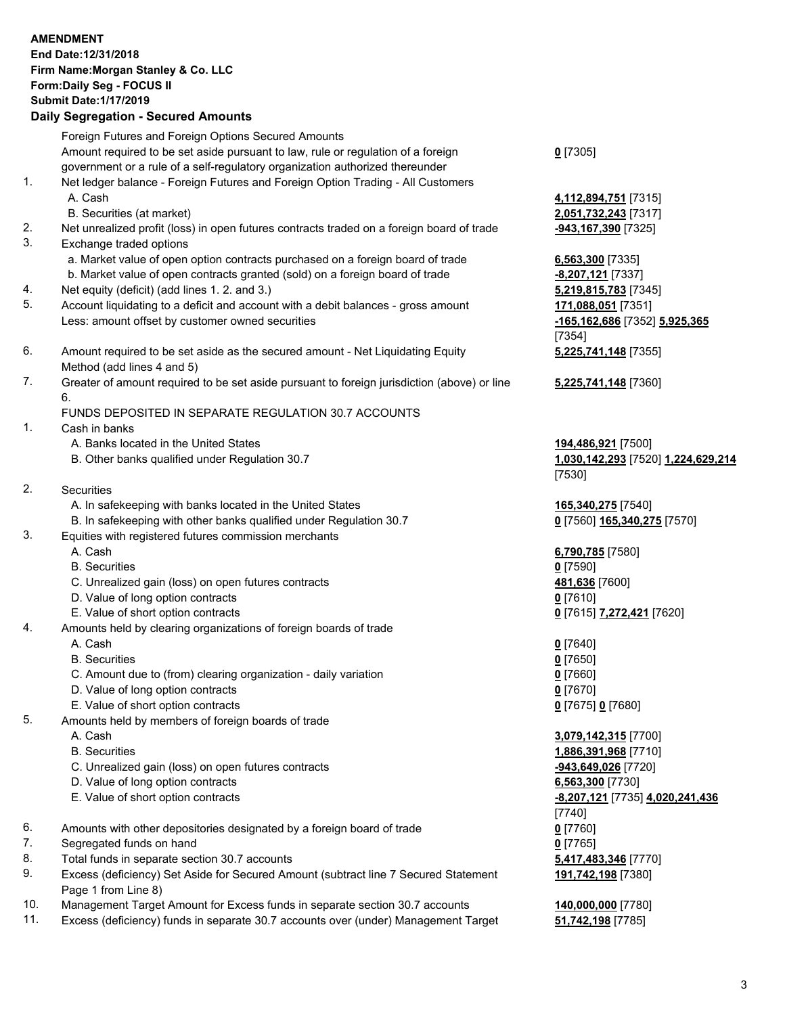## **AMENDMENT End Date:12/31/2018 Firm Name:Morgan Stanley & Co. LLC Form:Daily Seg - FOCUS II Submit Date:1/17/2019 Daily Segregation - Secured Amounts** Foreign Futures and Foreign Options Secured Amounts Amount required to be set aside pursuant to law, rule or regulation of a foreign government or a rule of a self-regulatory organization authorized thereunder **0** [7305] 1. Net ledger balance - Foreign Futures and Foreign Option Trading - All Customers A. Cash **4,112,894,751** [7315] B. Securities (at market) **2,051,732,243** [7317] 2. Net unrealized profit (loss) in open futures contracts traded on a foreign board of trade **-943,167,390** [7325] 3. Exchange traded options a. Market value of open option contracts purchased on a foreign board of trade **6,563,300** [7335] b. Market value of open contracts granted (sold) on a foreign board of trade **-8,207,121** [7337] 4. Net equity (deficit) (add lines 1. 2. and 3.) **5,219,815,783** [7345] 5. Account liquidating to a deficit and account with a debit balances - gross amount **171,088,051** [7351] Less: amount offset by customer owned securities **-165,162,686** [7352] **5,925,365** [7354] 6. Amount required to be set aside as the secured amount - Net Liquidating Equity Method (add lines 4 and 5) **5,225,741,148** [7355] 7. Greater of amount required to be set aside pursuant to foreign jurisdiction (above) or line 6. **5,225,741,148** [7360] FUNDS DEPOSITED IN SEPARATE REGULATION 30.7 ACCOUNTS 1. Cash in banks A. Banks located in the United States **194,486,921** [7500] B. Other banks qualified under Regulation 30.7 **1,030,142,293** [7520] **1,224,629,214** [7530] 2. Securities A. In safekeeping with banks located in the United States **165,340,275** [7540] B. In safekeeping with other banks qualified under Regulation 30.7 **0** [7560] **165,340,275** [7570] 3. Equities with registered futures commission merchants A. Cash **6,790,785** [7580] B. Securities **0** [7590] C. Unrealized gain (loss) on open futures contracts **481,636** [7600] D. Value of long option contracts **0** [7610] E. Value of short option contracts **0** [7615] **7,272,421** [7620] 4. Amounts held by clearing organizations of foreign boards of trade A. Cash **0** [7640] B. Securities **0** [7650] C. Amount due to (from) clearing organization - daily variation **0** [7660] D. Value of long option contracts **0** [7670] E. Value of short option contracts **0** [7675] **0** [7680] 5. Amounts held by members of foreign boards of trade A. Cash **3,079,142,315** [7700] B. Securities **1,886,391,968** [7710] C. Unrealized gain (loss) on open futures contracts **-943,649,026** [7720] D. Value of long option contracts **6,563,300** [7730] E. Value of short option contracts **-8,207,121** [7735] **4,020,241,436** [7740] 6. Amounts with other depositories designated by a foreign board of trade **0** [7760] 7. Segregated funds on hand **0** [7765] 8. Total funds in separate section 30.7 accounts **5,417,483,346** [7770] **191,742,198** [7380]

- 9. Excess (deficiency) Set Aside for Secured Amount (subtract line 7 Secured Statement Page 1 from Line 8)
- 10. Management Target Amount for Excess funds in separate section 30.7 accounts **140,000,000** [7780]
- 11. Excess (deficiency) funds in separate 30.7 accounts over (under) Management Target **51,742,198** [7785]

3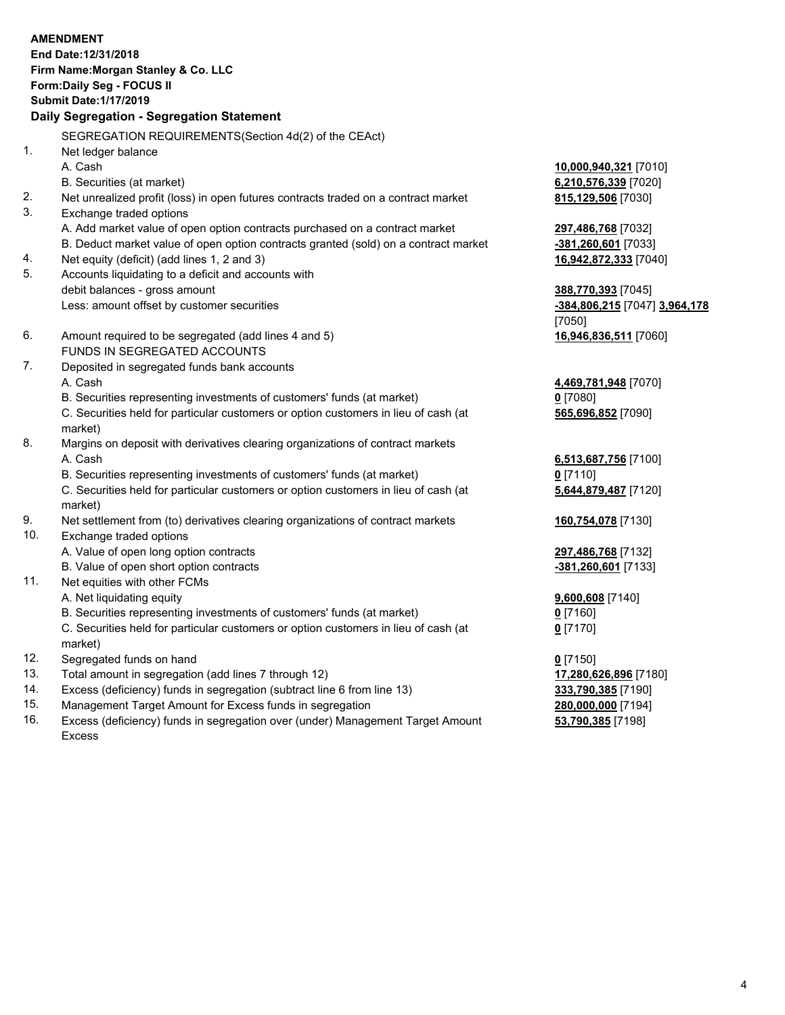|          | <b>AMENDMENT</b><br>End Date: 12/31/2018                                                           |                                 |
|----------|----------------------------------------------------------------------------------------------------|---------------------------------|
|          | Firm Name: Morgan Stanley & Co. LLC                                                                |                                 |
|          | Form: Daily Seg - FOCUS II                                                                         |                                 |
|          | <b>Submit Date: 1/17/2019</b>                                                                      |                                 |
|          | <b>Daily Segregation - Segregation Statement</b>                                                   |                                 |
|          |                                                                                                    |                                 |
|          | SEGREGATION REQUIREMENTS(Section 4d(2) of the CEAct)                                               |                                 |
| 1.       | Net ledger balance                                                                                 |                                 |
|          | A. Cash                                                                                            | 10,000,940,321 [7010]           |
|          | B. Securities (at market)                                                                          | 6,210,576,339 [7020]            |
| 2.       | Net unrealized profit (loss) in open futures contracts traded on a contract market                 | 815,129,506 [7030]              |
| 3.       | Exchange traded options                                                                            |                                 |
|          | A. Add market value of open option contracts purchased on a contract market                        | 297,486,768 [7032]              |
|          | B. Deduct market value of open option contracts granted (sold) on a contract market                | -381,260,601 [7033]             |
| 4.<br>5. | Net equity (deficit) (add lines 1, 2 and 3)<br>Accounts liquidating to a deficit and accounts with | 16,942,872,333 [7040]           |
|          | debit balances - gross amount                                                                      |                                 |
|          | Less: amount offset by customer securities                                                         | 388,770,393 [7045]              |
|          |                                                                                                    | -384,806,215 [7047] 3,964,178   |
| 6.       | Amount required to be segregated (add lines 4 and 5)                                               | [7050]<br>16,946,836,511 [7060] |
|          | FUNDS IN SEGREGATED ACCOUNTS                                                                       |                                 |
| 7.       | Deposited in segregated funds bank accounts                                                        |                                 |
|          | A. Cash                                                                                            | 4,469,781,948 [7070]            |
|          | B. Securities representing investments of customers' funds (at market)                             | $0$ [7080]                      |
|          | C. Securities held for particular customers or option customers in lieu of cash (at                | 565,696,852 [7090]              |
|          | market)                                                                                            |                                 |
| 8.       | Margins on deposit with derivatives clearing organizations of contract markets                     |                                 |
|          | A. Cash                                                                                            | 6,513,687,756 [7100]            |
|          | B. Securities representing investments of customers' funds (at market)                             | $0$ [7110]                      |
|          | C. Securities held for particular customers or option customers in lieu of cash (at                | 5,644,879,487 [7120]            |
|          | market)                                                                                            |                                 |
| 9.       | Net settlement from (to) derivatives clearing organizations of contract markets                    | 160,754,078 [7130]              |
| 10.      | Exchange traded options                                                                            |                                 |
|          | A. Value of open long option contracts                                                             | 297,486,768 [7132]              |
|          | B. Value of open short option contracts                                                            | -381,260,601 [7133]             |
| 11.      | Net equities with other FCMs                                                                       |                                 |
|          | A. Net liquidating equity                                                                          | 9,600,608 [7140]                |
|          | B. Securities representing investments of customers' funds (at market)                             | $0$ [7160]                      |
|          | C. Securities held for particular customers or option customers in lieu of cash (at                | $0$ [7170]                      |
|          | market)                                                                                            |                                 |
| 12.      | Segregated funds on hand                                                                           | $0$ [7150]                      |
| 13.      | Total amount in segregation (add lines 7 through 12)                                               | 17,280,626,896 [7180]           |
| 14.      | Excess (deficiency) funds in segregation (subtract line 6 from line 13)                            | 333,790,385 [7190]              |

- 
- 15. Management Target Amount for Excess funds in segregation<br>16. Excess (deficiency) funds in segregation over (under) Management Target Amount **280,000,000** [7198] Excess (deficiency) funds in segregation over (under) Management Target Amount Excess

**53,790,385** [7198]